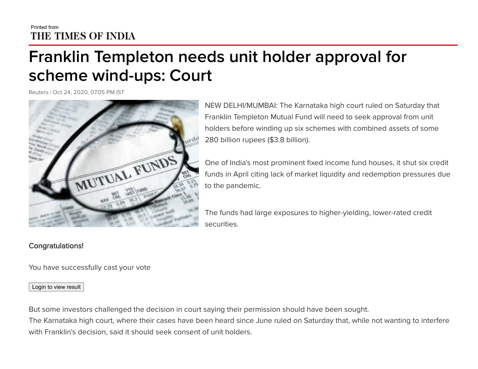## Printed from THE TIMES OF INDIA

## **Franklin Templeton needs unit holder approval for scheme wind-ups: Court**

Reuters | Oct 24, 2020, 07.05 PM IST



NEW DELHI/MUMBAI: The Karnataka high court ruled on Saturday that Franklin Templeton Mutual Fund will need to seek approval from unit holders before winding up six schemes with combined assets of some 280 billion rupees (\$3.8 billion).

One of India's most prominent fixed income fund houses, it shut six credit funds in April citing lack of market liquidity and redemption pressures due to the pandemic.

The funds had large exposures to higher-yielding, lower-rated credit securities.

## Congratulations!

You have successfully cast your vote

Login to view result

But some investors challenged the decision in court saying their permission should have been sought. The Karnataka high court, where their cases have been heard since June ruled on Saturday that, while not wanting to interfere with Franklin's decision, said it should seek consent of unit holders.